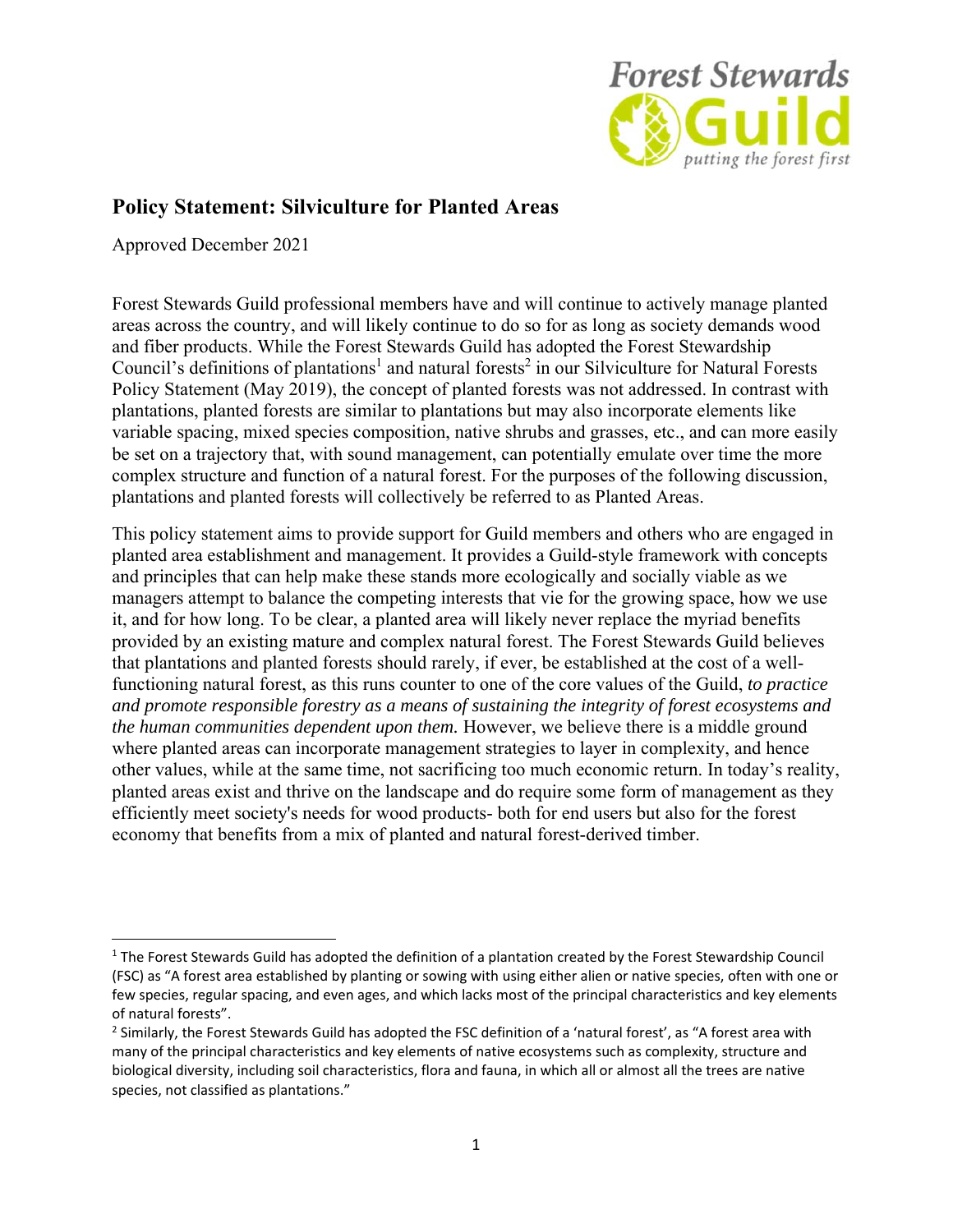

# **Policy Statement: Silviculture for Planted Areas**

Approved December 2021

Forest Stewards Guild professional members have and will continue to actively manage planted areas across the country, and will likely continue to do so for as long as society demands wood and fiber products. While the Forest Stewards Guild has adopted the Forest Stewardship Council's definitions of plantations<sup>1</sup> and natural forests<sup>2</sup> in our Silviculture for Natural Forests Policy Statement (May 2019), the concept of planted forests was not addressed. In contrast with plantations, planted forests are similar to plantations but may also incorporate elements like variable spacing, mixed species composition, native shrubs and grasses, etc., and can more easily be set on a trajectory that, with sound management, can potentially emulate over time the more complex structure and function of a natural forest. For the purposes of the following discussion, plantations and planted forests will collectively be referred to as Planted Areas.

This policy statement aims to provide support for Guild members and others who are engaged in planted area establishment and management. It provides a Guild-style framework with concepts and principles that can help make these stands more ecologically and socially viable as we managers attempt to balance the competing interests that vie for the growing space, how we use it, and for how long. To be clear, a planted area will likely never replace the myriad benefits provided by an existing mature and complex natural forest. The Forest Stewards Guild believes that plantations and planted forests should rarely, if ever, be established at the cost of a wellfunctioning natural forest, as this runs counter to one of the core values of the Guild, *to practice and promote responsible forestry as a means of sustaining the integrity of forest ecosystems and the human communities dependent upon them.* However, we believe there is a middle ground where planted areas can incorporate management strategies to layer in complexity, and hence other values, while at the same time, not sacrificing too much economic return. In today's reality, planted areas exist and thrive on the landscape and do require some form of management as they efficiently meet society's needs for wood products- both for end users but also for the forest economy that benefits from a mix of planted and natural forest-derived timber.

 $1$  The Forest Stewards Guild has adopted the definition of a plantation created by the Forest Stewardship Council (FSC) as "A forest area established by planting or sowing with using either alien or native species, often with one or few species, regular spacing, and even ages, and which lacks most of the principal characteristics and key elements of natural forests".

 $^2$  Similarly, the Forest Stewards Guild has adopted the FSC definition of a 'natural forest', as "A forest area with many of the principal characteristics and key elements of native ecosystems such as complexity, structure and biological diversity, including soil characteristics, flora and fauna, in which all or almost all the trees are native species, not classified as plantations."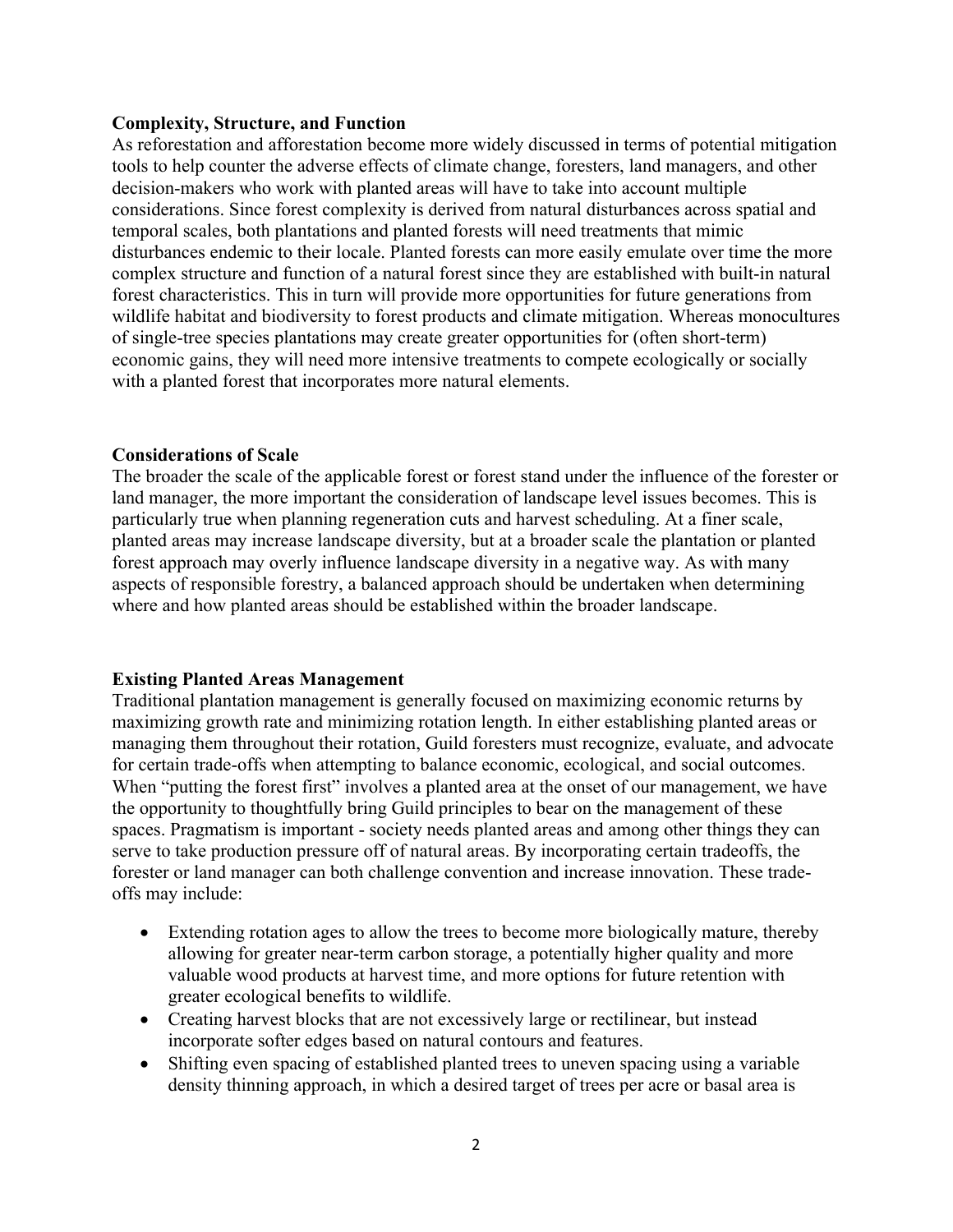### **Complexity, Structure, and Function**

As reforestation and afforestation become more widely discussed in terms of potential mitigation tools to help counter the adverse effects of climate change, foresters, land managers, and other decision-makers who work with planted areas will have to take into account multiple considerations. Since forest complexity is derived from natural disturbances across spatial and temporal scales, both plantations and planted forests will need treatments that mimic disturbances endemic to their locale. Planted forests can more easily emulate over time the more complex structure and function of a natural forest since they are established with built-in natural forest characteristics. This in turn will provide more opportunities for future generations from wildlife habitat and biodiversity to forest products and climate mitigation. Whereas monocultures of single-tree species plantations may create greater opportunities for (often short-term) economic gains, they will need more intensive treatments to compete ecologically or socially with a planted forest that incorporates more natural elements.

## **Considerations of Scale**

The broader the scale of the applicable forest or forest stand under the influence of the forester or land manager, the more important the consideration of landscape level issues becomes. This is particularly true when planning regeneration cuts and harvest scheduling. At a finer scale, planted areas may increase landscape diversity, but at a broader scale the plantation or planted forest approach may overly influence landscape diversity in a negative way. As with many aspects of responsible forestry, a balanced approach should be undertaken when determining where and how planted areas should be established within the broader landscape.

## **Existing Planted Areas Management**

Traditional plantation management is generally focused on maximizing economic returns by maximizing growth rate and minimizing rotation length. In either establishing planted areas or managing them throughout their rotation, Guild foresters must recognize, evaluate, and advocate for certain trade-offs when attempting to balance economic, ecological, and social outcomes. When "putting the forest first" involves a planted area at the onset of our management, we have the opportunity to thoughtfully bring Guild principles to bear on the management of these spaces. Pragmatism is important - society needs planted areas and among other things they can serve to take production pressure off of natural areas. By incorporating certain tradeoffs, the forester or land manager can both challenge convention and increase innovation. These tradeoffs may include:

- Extending rotation ages to allow the trees to become more biologically mature, thereby allowing for greater near-term carbon storage, a potentially higher quality and more valuable wood products at harvest time, and more options for future retention with greater ecological benefits to wildlife.
- Creating harvest blocks that are not excessively large or rectilinear, but instead incorporate softer edges based on natural contours and features.
- Shifting even spacing of established planted trees to uneven spacing using a variable density thinning approach, in which a desired target of trees per acre or basal area is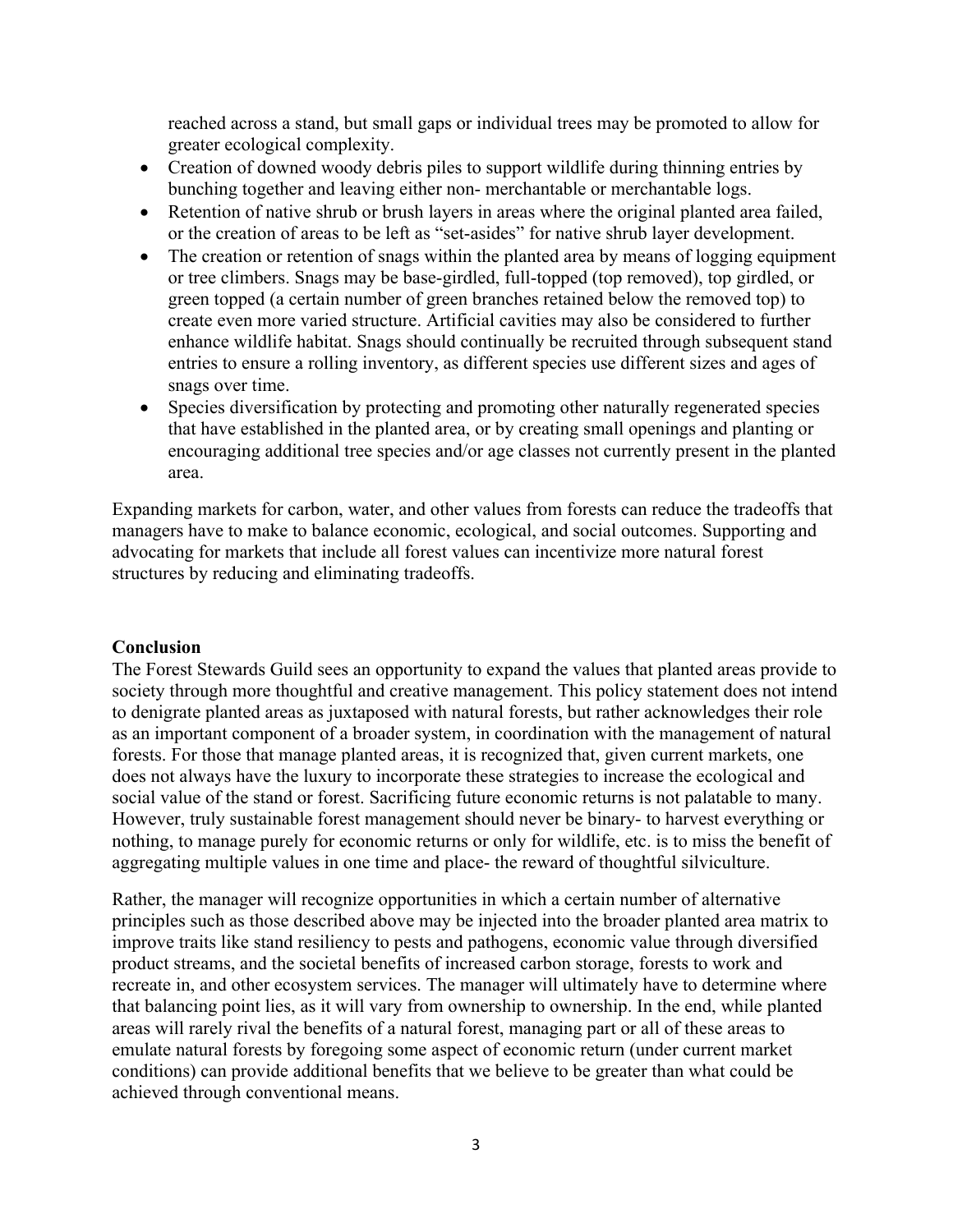reached across a stand, but small gaps or individual trees may be promoted to allow for greater ecological complexity.

- Creation of downed woody debris piles to support wildlife during thinning entries by bunching together and leaving either non- merchantable or merchantable logs.
- Retention of native shrub or brush layers in areas where the original planted area failed, or the creation of areas to be left as "set-asides" for native shrub layer development.
- The creation or retention of snags within the planted area by means of logging equipment or tree climbers. Snags may be base-girdled, full-topped (top removed), top girdled, or green topped (a certain number of green branches retained below the removed top) to create even more varied structure. Artificial cavities may also be considered to further enhance wildlife habitat. Snags should continually be recruited through subsequent stand entries to ensure a rolling inventory, as different species use different sizes and ages of snags over time.
- Species diversification by protecting and promoting other naturally regenerated species that have established in the planted area, or by creating small openings and planting or encouraging additional tree species and/or age classes not currently present in the planted area.

Expanding markets for carbon, water, and other values from forests can reduce the tradeoffs that managers have to make to balance economic, ecological, and social outcomes. Supporting and advocating for markets that include all forest values can incentivize more natural forest structures by reducing and eliminating tradeoffs.

#### **Conclusion**

The Forest Stewards Guild sees an opportunity to expand the values that planted areas provide to society through more thoughtful and creative management. This policy statement does not intend to denigrate planted areas as juxtaposed with natural forests, but rather acknowledges their role as an important component of a broader system, in coordination with the management of natural forests. For those that manage planted areas, it is recognized that, given current markets, one does not always have the luxury to incorporate these strategies to increase the ecological and social value of the stand or forest. Sacrificing future economic returns is not palatable to many. However, truly sustainable forest management should never be binary- to harvest everything or nothing, to manage purely for economic returns or only for wildlife, etc. is to miss the benefit of aggregating multiple values in one time and place- the reward of thoughtful silviculture.

Rather, the manager will recognize opportunities in which a certain number of alternative principles such as those described above may be injected into the broader planted area matrix to improve traits like stand resiliency to pests and pathogens, economic value through diversified product streams, and the societal benefits of increased carbon storage, forests to work and recreate in, and other ecosystem services. The manager will ultimately have to determine where that balancing point lies, as it will vary from ownership to ownership. In the end, while planted areas will rarely rival the benefits of a natural forest, managing part or all of these areas to emulate natural forests by foregoing some aspect of economic return (under current market conditions) can provide additional benefits that we believe to be greater than what could be achieved through conventional means.